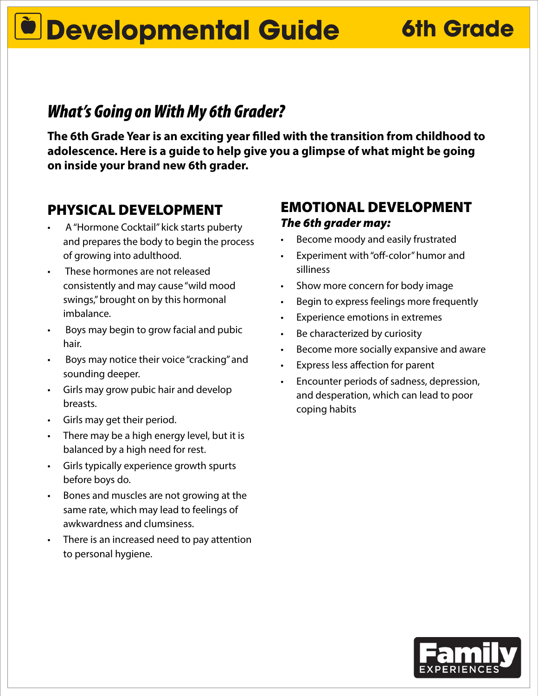# **Developmental Guide 6th Grade**

### *What's Going on With My 6th Grader?*

**The 6th Grade Year is an exciting year filled with the transition from childhood to adolescence. Here is a guide to help give you a glimpse of what might be going on inside your brand new 6th grader.**

#### PHYSICAL DEVELOPMENT

- A "Hormone Cocktail" kick starts puberty and prepares the body to begin the process of growing into adulthood.
- These hormones are not released consistently and may cause "wild mood swings," brought on by this hormonal imbalance.
- Boys may begin to grow facial and pubic hair.
- Boys may notice their voice "cracking" and sounding deeper.
- Girls may grow pubic hair and develop breasts.
- Girls may get their period.
- There may be a high energy level, but it is balanced by a high need for rest.
- Girls typically experience growth spurts before boys do.
- Bones and muscles are not growing at the same rate, which may lead to feelings of awkwardness and clumsiness.
- There is an increased need to pay attention to personal hygiene.

#### EMOTIONAL DEVELOPMENT *The 6th grader may:*

- Become moody and easily frustrated
- Experiment with "off-color" humor and silliness
- Show more concern for body image
- Begin to express feelings more frequently
- Experience emotions in extremes
- Be characterized by curiosity
- Become more socially expansive and aware
- Express less affection for parent
- Encounter periods of sadness, depression, and desperation, which can lead to poor coping habits